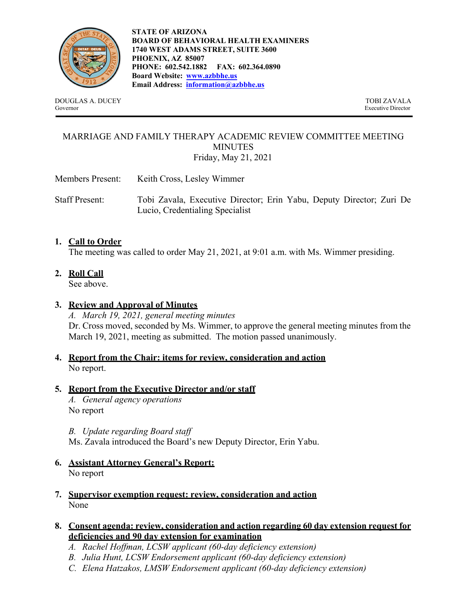

DOUGLAS A. DUCEY TOBI ZAVALA Governor Executive Director

**STATE OF ARIZONA BOARD OF BEHAVIORAL HEALTH EXAMINERS 1740 WEST ADAMS STREET, SUITE 3600 PHOENIX, AZ 85007 PHONE: 602.542.1882 FAX: 602.364.0890 Board Website: www.azbbhe.us Email Address: information@azbbhe.us**

# MARRIAGE AND FAMILY THERAPY ACADEMIC REVIEW COMMITTEE MEETING **MINUTES** Friday, May 21, 2021

Members Present: Keith Cross, Lesley Wimmer

Staff Present: Tobi Zavala, Executive Director; Erin Yabu, Deputy Director; Zuri De Lucio, Credentialing Specialist

# **1. Call to Order**

The meeting was called to order May 21, 2021, at 9:01 a.m. with Ms. Wimmer presiding.

**2. Roll Call** 

See above.

# **3. Review and Approval of Minutes**

*A. March 19, 2021, general meeting minutes*  Dr. Cross moved, seconded by Ms. Wimmer, to approve the general meeting minutes from the March 19, 2021, meeting as submitted. The motion passed unanimously.

**4. Report from the Chair: items for review, consideration and action**  No report.

# **5. Report from the Executive Director and/or staff**

*A. General agency operations*  No report

*B. Update regarding Board staff* 

Ms. Zavala introduced the Board's new Deputy Director, Erin Yabu.

- **6. Assistant Attorney General's Report:**  No report
- **7. Supervisor exemption request: review, consideration and action**  None

### **8. Consent agenda: review, consideration and action regarding 60 day extension request for deficiencies and 90 day extension for examination**

- *A. Rachel Hoffman, LCSW applicant (60-day deficiency extension)*
- *B. Julia Hunt, LCSW Endorsement applicant (60-day deficiency extension)*
- *C. Elena Hatzakos, LMSW Endorsement applicant (60-day deficiency extension)*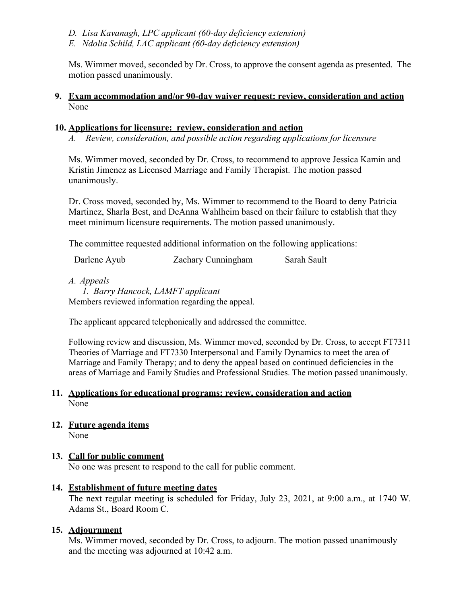- *D. Lisa Kavanagh, LPC applicant (60-day deficiency extension)*
- *E. Ndolia Schild, LAC applicant (60-day deficiency extension)*

Ms. Wimmer moved, seconded by Dr. Cross, to approve the consent agenda as presented. The motion passed unanimously.

### **9. Exam accommodation and/or 90-day waiver request: review, consideration and action**  None

### **10. Applications for licensure: review, consideration and action**

*A. Review, consideration, and possible action regarding applications for licensure* 

Ms. Wimmer moved, seconded by Dr. Cross, to recommend to approve Jessica Kamin and Kristin Jimenez as Licensed Marriage and Family Therapist. The motion passed unanimously.

Dr. Cross moved, seconded by, Ms. Wimmer to recommend to the Board to deny Patricia Martinez, Sharla Best, and DeAnna Wahlheim based on their failure to establish that they meet minimum licensure requirements. The motion passed unanimously.

The committee requested additional information on the following applications:

Darlene Ayub Zachary Cunningham Sarah Sault

*A. Appeals* 

*1. Barry Hancock, LAMFT applicant*  Members reviewed information regarding the appeal.

The applicant appeared telephonically and addressed the committee.

Following review and discussion, Ms. Wimmer moved, seconded by Dr. Cross, to accept FT7311 Theories of Marriage and FT7330 Interpersonal and Family Dynamics to meet the area of Marriage and Family Therapy; and to deny the appeal based on continued deficiencies in the areas of Marriage and Family Studies and Professional Studies. The motion passed unanimously.

# **11. Applications for educational programs: review, consideration and action**  None

**12. Future agenda items** 

None

# **13. Call for public comment**

No one was present to respond to the call for public comment.

# **14. Establishment of future meeting dates**

The next regular meeting is scheduled for Friday, July 23, 2021, at 9:00 a.m., at 1740 W. Adams St., Board Room C.

# **15. Adjournment**

Ms. Wimmer moved, seconded by Dr. Cross, to adjourn. The motion passed unanimously and the meeting was adjourned at 10:42 a.m.